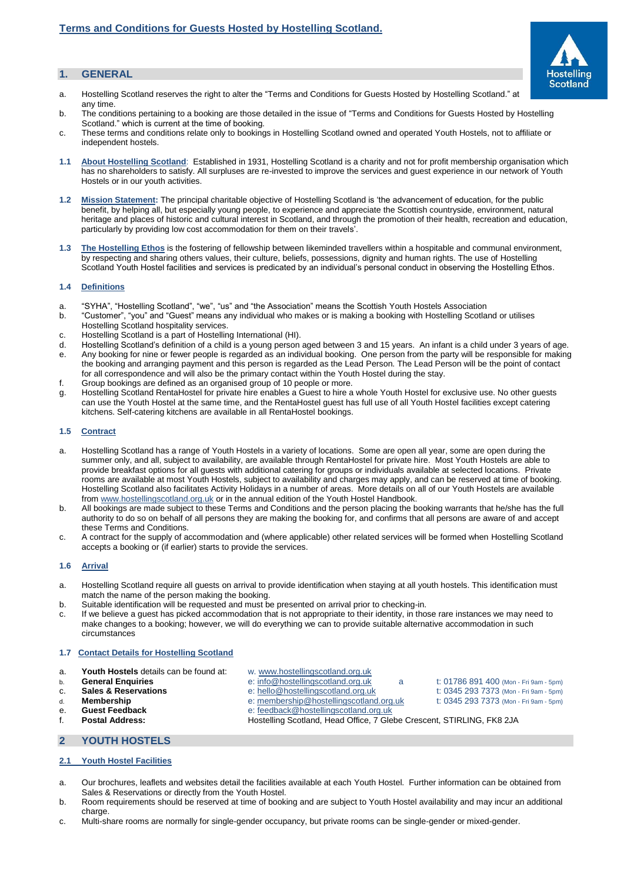# **1. GENERAL**

- a. Hostelling Scotland reserves the right to alter the "Terms and Conditions for Guests Hosted by Hostelling Scotland." at any time.
- b. The conditions pertaining to a booking are those detailed in the issue of "Terms and Conditions for Guests Hosted by Hostelling Scotland." which is current at the time of booking.
- c. These terms and conditions relate only to bookings in Hostelling Scotland owned and operated Youth Hostels, not to affiliate or independent hostels.
- **1.1 About Hostelling Scotland**: Established in 1931, Hostelling Scotland is a charity and not for profit membership organisation which has no shareholders to satisfy. All surpluses are re-invested to improve the services and guest experience in our network of Youth Hostels or in our youth activities.
- **1.2 Mission Statement:** The principal charitable objective of Hostelling Scotland is 'the advancement of education, for the public benefit, by helping all, but especially young people, to experience and appreciate the Scottish countryside, environment, natural heritage and places of historic and cultural interest in Scotland, and through the promotion of their health, recreation and education, particularly by providing low cost accommodation for them on their travels'.
- **1.3 The Hostelling Ethos** is the fostering of fellowship between likeminded travellers within a hospitable and communal environment, by respecting and sharing others values, their culture, beliefs, possessions, dignity and human rights. The use of Hostelling Scotland Youth Hostel facilities and services is predicated by an individual's personal conduct in observing the Hostelling Ethos.

# **1.4 Definitions**

- a. "SYHA", "Hostelling Scotland", "we", "us" and "the Association" means the Scottish Youth Hostels Association
- b. "Customer", "you" and "Guest" means any individual who makes or is making a booking with Hostelling Scotland or utilises Hostelling Scotland hospitality services.
- c. Hostelling Scotland is a part of Hostelling International (HI).
- d. Hostelling Scotland's definition of a child is a young person aged between 3 and 15 years. An infant is a child under 3 years of age. e. Any booking for nine or fewer people is regarded as an individual booking. One person from the party will be responsible for making the booking and arranging payment and this person is regarded as the Lead Person. The Lead Person will be the point of contact for all correspondence and will also be the primary contact within the Youth Hostel during the stay.
- f. Group bookings are defined as an organised group of 10 people or more.
- g. Hostelling Scotland RentaHostel for private hire enables a Guest to hire a whole Youth Hostel for exclusive use. No other guests can use the Youth Hostel at the same time, and the RentaHostel guest has full use of all Youth Hostel facilities except catering kitchens. Self-catering kitchens are available in all RentaHostel bookings.

#### **1.5 Contract**

- a. Hostelling Scotland has a range of Youth Hostels in a variety of locations. Some are open all year, some are open during the summer only, and all, subject to availability, are available through RentaHostel for private hire. Most Youth Hostels are able to provide breakfast options for all guests with additional catering for groups or individuals available at selected locations. Private rooms are available at most Youth Hostels, subject to availability and charges may apply, and can be reserved at time of booking. Hostelling Scotland also facilitates Activity Holidays in a number of areas. More details on all of our Youth Hostels are available from [www.hostellingscotland.org.uk](http://www.hostellingscotland.org.uk/) or in the annual edition of the Youth Hostel Handbook.
- b. All bookings are made subject to these Terms and Conditions and the person placing the booking warrants that he/she has the full authority to do so on behalf of all persons they are making the booking for, and confirms that all persons are aware of and accept these Terms and Conditions.
- c. A contract for the supply of accommodation and (where applicable) other related services will be formed when Hostelling Scotland accepts a booking or (if earlier) starts to provide the services.

## **1.6 Arrival**

- a. Hostelling Scotland require all guests on arrival to provide identification when staying at all youth hostels. This identification must match the name of the person making the booking.
- b. Suitable identification will be requested and must be presented on arrival prior to checking-in.
- c. If we believe a guest has picked accommodation that is not appropriate to their identity, in those rare instances we may need to make changes to a booking; however, we will do everything we can to provide suitable alternative accommodation in such circumstances

# **1.7 Contact Details for Hostelling Scotland**

- **a. Youth Hostels** details can be found at: w. [www.hostellingscotland.org.uk](http://www.hostellingscotland.org.uk/)<br>b. **General Enquiries** e: info@hostellingscotland.org.uk
- 
- 
- 
- 
- 
- 
- -
- **6. General Enquiries** e[: info@hostellingscotland.org.uk](mailto:info@hostellingscotland.org.uk) a t: 01786 891 400 (Mon Fri 9am 5pm)<br> **C. Sales & Reservations** e: hello@hostellingscotland.org.uk t: 0345 293 7373 (Mon Fri 9am 5pm) c. **Sales & Reservations** e[: hello@hostellingscotland.org.uk](mailto:reservations@hostellingscotland.org.uk) t: 0345 293 7373 (Mon - Fri 9am - 5pm)
- d. **Membership** e[: membership@hostellingscotland.org.uk](mailto:membership@hostellingscotland.org.uk) t: 0345 293 7373 (Mon Fri 9am 5pm)<br>
e. Guest Feedback en expression by the expression of the ethnology of the ethnology of the ethnology of the eth
- e. **Guest Feedback** e: <u>feedback@hostellingscotland.org.uk</u><br>
f. **Postal Address:** Hostelling Scotland, Head Office, 7 Gle f. **Postal Address:** Hostelling Scotland, Head Office, 7 Glebe Crescent, STIRLING, FK8 2JA
- **2 YOUTH HOSTELS**

# **2.1 Youth Hostel Facilities**

- a. Our brochures, leaflets and websites detail the facilities available at each Youth Hostel. Further information can be obtained from Sales & Reservations or directly from the Youth Hostel.
- b. Room requirements should be reserved at time of booking and are subject to Youth Hostel availability and may incur an additional charge
- c. Multi-share rooms are normally for single-gender occupancy, but private rooms can be single-gender or mixed-gender.

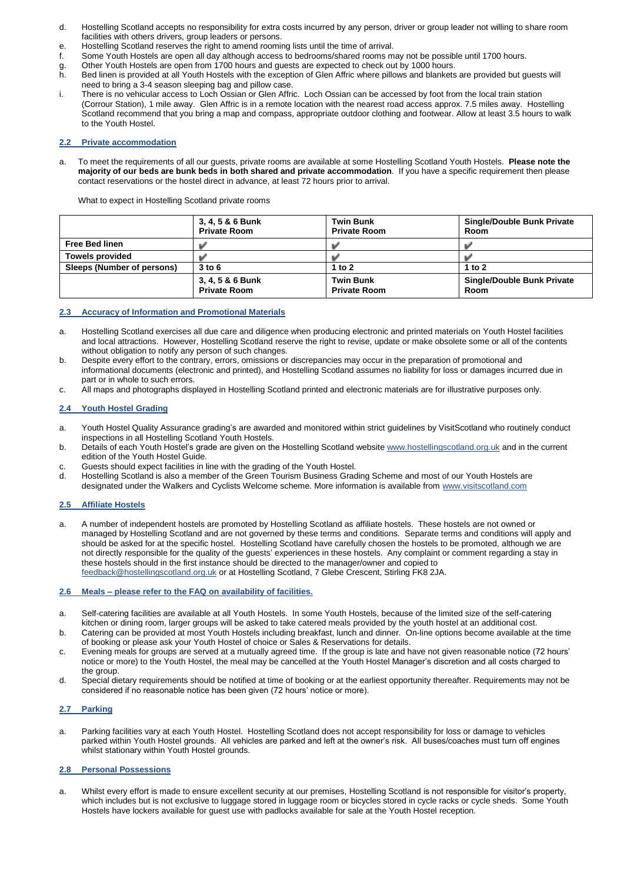- d. Hostelling Scotland accepts no responsibility for extra costs incurred by any person, driver or group leader not willing to share room facilities with others drivers, group leaders or persons.
- e. Hostelling Scotland reserves the right to amend rooming lists until the time of arrival.<br>f. Some Youth Hostels are open all day although access to bedrooms/shared rooms m
- Some Youth Hostels are open all day although access to bedrooms/shared rooms may not be possible until 1700 hours.
- g. Other Youth Hostels are open from 1700 hours and guests are expected to check out by 1000 hours.<br>h. Bed linen is provided at all Youth Hostels with the exception of Glen Affric where pillows and blankets
- h. Bed linen is provided at all Youth Hostels with the exception of Glen Affric where pillows and blankets are provided but guests will need to bring a 3-4 season sleeping bag and pillow case.
- i. There is no vehicular access to Loch Ossian or Glen Affric. Loch Ossian can be accessed by foot from the local train station (Corrour Station), 1 mile away. Glen Affric is in a remote location with the nearest road access approx. 7.5 miles away. Hostelling Scotland recommend that you bring a map and compass, appropriate outdoor clothing and footwear. Allow at least 3.5 hours to walk to the Youth Hostel.

# **2.2 Private accommodation**

a. To meet the requirements of all our guests, private rooms are available at some Hostelling Scotland Youth Hostels. **Please note the majority of our beds are bunk beds in both shared and private accommodation**. If you have a specific requirement then please contact reservations or the hostel direct in advance, at least 72 hours prior to arrival.

What to expect in Hostelling Scotland private rooms

|                            | 3, 4, 5 & 6 Bunk<br><b>Private Room</b> | <b>Twin Bunk</b><br><b>Private Room</b> | <b>Single/Double Bunk Private</b><br>Room |
|----------------------------|-----------------------------------------|-----------------------------------------|-------------------------------------------|
| <b>Free Bed linen</b>      |                                         |                                         |                                           |
| <b>Towels provided</b>     |                                         |                                         |                                           |
| Sleeps (Number of persons) | $3$ to $6$                              | 1 to 2                                  | 1 to $2$                                  |
|                            | 3, 4, 5 & 6 Bunk<br><b>Private Room</b> | <b>Twin Bunk</b><br><b>Private Room</b> | <b>Single/Double Bunk Private</b><br>Room |

# **2.3 Accuracy of Information and Promotional Materials**

- a. Hostelling Scotland exercises all due care and diligence when producing electronic and printed materials on Youth Hostel facilities and local attractions. However, Hostelling Scotland reserve the right to revise, update or make obsolete some or all of the contents without obligation to notify any person of such changes.
- b. Despite every effort to the contrary, errors, omissions or discrepancies may occur in the preparation of promotional and informational documents (electronic and printed), and Hostelling Scotland assumes no liability for loss or damages incurred due in part or in whole to such errors.
- c. All maps and photographs displayed in Hostelling Scotland printed and electronic materials are for illustrative purposes only.

# **2.4 Youth Hostel Grading**

- a. Youth Hostel Quality Assurance grading's are awarded and monitored within strict guidelines by VisitScotland who routinely conduct inspections in all Hostelling Scotland Youth Hostels.
- b. Details of each Youth Hostel's grade are given on the Hostelling Scotland websit[e www.hostellingscotland.org.uk](http://www.hostellingscotland.org.uk/) and in the current edition of the Youth Hostel Guide.
- c. Guests should expect facilities in line with the grading of the Youth Hostel.
- Hostelling Scotland is also a member of the Green Tourism Business Grading Scheme and most of our Youth Hostels are designated under the Walkers and Cyclists Welcome scheme. More information is available from [www.visitscotland.com](http://www.visitscotland.com/)

#### **2.5 Affiliate Hostels**

a. A number of independent hostels are promoted by Hostelling Scotland as affiliate hostels. These hostels are not owned or managed by Hostelling Scotland and are not governed by these terms and conditions. Separate terms and conditions will apply and should be asked for at the specific hostel. Hostelling Scotland have carefully chosen the hostels to be promoted, although we are not directly responsible for the quality of the guests' experiences in these hostels. Any complaint or comment regarding a stay in these hostels should in the first instance should be directed to the manager/owner and copied to [feedback@hostellingscotland.org.uk](mailto:feedback@hostellingscotland.org.uk) or at Hostelling Scotland, 7 Glebe Crescent, Stirling FK8 2JA.

#### **2.6 Meals – please refer to the FAQ on availability of facilities.**

- a. Self-catering facilities are available at all Youth Hostels. In some Youth Hostels, because of the limited size of the self-catering kitchen or dining room, larger groups will be asked to take catered meals provided by the youth hostel at an additional cost.
- b. Catering can be provided at most Youth Hostels including breakfast, lunch and dinner. On-line options become available at the time of booking or please ask your Youth Hostel of choice or Sales & Reservations for details.
- c. Evening meals for groups are served at a mutually agreed time. If the group is late and have not given reasonable notice (72 hours' notice or more) to the Youth Hostel, the meal may be cancelled at the Youth Hostel Manager's discretion and all costs charged to the group.
- d. Special dietary requirements should be notified at time of booking or at the earliest opportunity thereafter. Requirements may not be considered if no reasonable notice has been given (72 hours' notice or more).

#### **2.7 Parking**

a. Parking facilities vary at each Youth Hostel. Hostelling Scotland does not accept responsibility for loss or damage to vehicles parked within Youth Hostel grounds. All vehicles are parked and left at the owner's risk. All buses/coaches must turn off engines whilst stationary within Youth Hostel grounds.

#### **2.8 Personal Possessions**

a. Whilst every effort is made to ensure excellent security at our premises, Hostelling Scotland is not responsible for visitor's property, which includes but is not exclusive to luggage stored in luggage room or bicycles stored in cycle racks or cycle sheds. Some Youth Hostels have lockers available for guest use with padlocks available for sale at the Youth Hostel reception.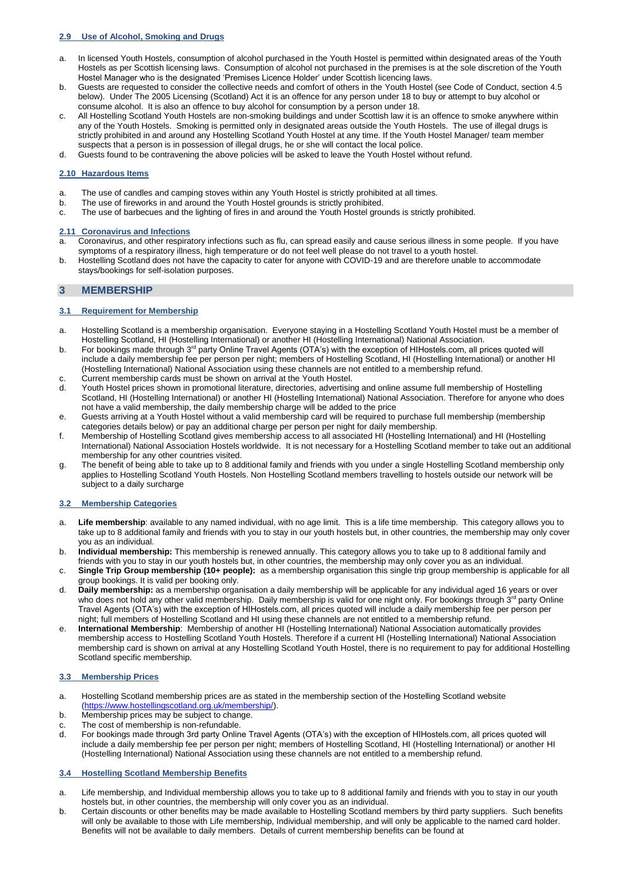## **2.9 Use of Alcohol, Smoking and Drugs**

- a. In licensed Youth Hostels, consumption of alcohol purchased in the Youth Hostel is permitted within designated areas of the Youth Hostels as per Scottish licensing laws. Consumption of alcohol not purchased in the premises is at the sole discretion of the Youth Hostel Manager who is the designated 'Premises Licence Holder' under Scottish licencing laws.
- b. Guests are requested to consider the collective needs and comfort of others in the Youth Hostel (see Code of Conduct, section 4.5 below). Under The 2005 Licensing (Scotland) Act it is an offence for any person under 18 to buy or attempt to buy alcohol or consume alcohol. It is also an offence to buy alcohol for consumption by a person under 18.
- c. All Hostelling Scotland Youth Hostels are non-smoking buildings and under Scottish law it is an offence to smoke anywhere within any of the Youth Hostels. Smoking is permitted only in designated areas outside the Youth Hostels. The use of illegal drugs is strictly prohibited in and around any Hostelling Scotland Youth Hostel at any time. If the Youth Hostel Manager/ team member suspects that a person is in possession of illegal drugs, he or she will contact the local police.
- d. Guests found to be contravening the above policies will be asked to leave the Youth Hostel without refund.

# **2.10 Hazardous Items**

- a. The use of candles and camping stoves within any Youth Hostel is strictly prohibited at all times.<br>b. The use of fireworks in and around the Youth Hostel grounds is strictly prohibited.
- b. The use of fireworks in and around the Youth Hostel grounds is strictly prohibited.<br>c. The use of barbecues and the lighting of fires in and around the Youth Hostel grou
- The use of barbecues and the lighting of fires in and around the Youth Hostel grounds is strictly prohibited.

#### **2.11 Coronavirus and Infections**

- a. Coronavirus, and other respiratory infections such as flu, can spread easily and cause serious illness in some people. If you have symptoms of a respiratory illness, high temperature or do not feel well please do not travel to a youth hostel.
- b. Hostelling Scotland does not have the capacity to cater for anyone with COVID-19 and are therefore unable to accommodate stays/bookings for self-isolation purposes.

# **3 MEMBERSHIP**

# **3.1 Requirement for Membership**

- a. Hostelling Scotland is a membership organisation. Everyone staying in a Hostelling Scotland Youth Hostel must be a member of Hostelling Scotland, HI (Hostelling International) or another HI (Hostelling International) National Association.
- b. For bookings made through 3<sup>rd</sup> party Online Travel Agents (OTA's) with the exception of HIHostels.com, all prices quoted will include a daily membership fee per person per night; members of Hostelling Scotland, HI (Hostelling International) or another HI (Hostelling International) National Association using these channels are not entitled to a membership refund.
- c. Current membership cards must be shown on arrival at the Youth Hostel.<br>Couth Hostel prices shown in promotional literature, directories, advertising
- Youth Hostel prices shown in promotional literature, directories, advertising and online assume full membership of Hostelling Scotland, HI (Hostelling International) or another HI (Hostelling International) National Association. Therefore for anyone who does not have a valid membership, the daily membership charge will be added to the price
- e. Guests arriving at a Youth Hostel without a valid membership card will be required to purchase full membership (membership categories details below) or pay an additional charge per person per night for daily membership.
- f. Membership of Hostelling Scotland gives membership access to all associated HI (Hostelling International) and HI (Hostelling International) National Association Hostels worldwide. It is not necessary for a Hostelling Scotland member to take out an additional membership for any other countries visited.
- g. The benefit of being able to take up to 8 additional family and friends with you under a single Hostelling Scotland membership only applies to Hostelling Scotland Youth Hostels. Non Hostelling Scotland members travelling to hostels outside our network will be subject to a daily surcharge

# **3.2 Membership Categories**

- a. **Life membership**: available to any named individual, with no age limit. This is a life time membership. This category allows you to take up to 8 additional family and friends with you to stay in our youth hostels but, in other countries, the membership may only cover you as an individual.
- b. **Individual membership:** This membership is renewed annually. This category allows you to take up to 8 additional family and friends with you to stay in our youth hostels but, in other countries, the membership may only cover you as an individual.
- c. **Single Trip Group membership (10+ people):** as a membership organisation this single trip group membership is applicable for all group bookings. It is valid per booking only.
- d. **Daily membership:** as a membership organisation a daily membership will be applicable for any individual aged 16 years or over who does not hold any other valid membership. Daily membership is valid for one night only. For bookings through 3<sup>rd</sup> party Online Travel Agents (OTA's) with the exception of HIHostels.com, all prices quoted will include a daily membership fee per person per night; full members of Hostelling Scotland and HI using these channels are not entitled to a membership refund.
- e. **International Membership**: Membership of another HI (Hostelling International) National Association automatically provides membership access to Hostelling Scotland Youth Hostels. Therefore if a current HI (Hostelling International) National Association membership card is shown on arrival at any Hostelling Scotland Youth Hostel, there is no requirement to pay for additional Hostelling Scotland specific membership.

# **3.3 Membership Prices**

- a. Hostelling Scotland membership prices are as stated in the [membership section of the Hostelling Scotland](https://www.hostellingscotland.org.uk/membership/) website [\(https://www.hostellingscotland.org.uk/membership/\)](https://www.hostellingscotland.org.uk/membership/).
- b. Membership prices may be subject to change.
- c. The cost of membership is non-refundable.<br>d. For bookings made through 3rd party Online
- For bookings made through 3rd party Online Travel Agents (OTA's) with the exception of HIHostels.com, all prices quoted will include a daily membership fee per person per night; members of Hostelling Scotland, HI (Hostelling International) or another HI (Hostelling International) National Association using these channels are not entitled to a membership refund.

# **3.4 Hostelling Scotland Membership Benefits**

- a. Life membership, and Individual membership allows you to take up to 8 additional family and friends with you to stay in our youth hostels but, in other countries, the membership will only cover you as an individual.
- b. Certain discounts or other benefits may be made available to Hostelling Scotland members by third party suppliers. Such benefits will only be available to those with Life membership, Individual membership, and will only be applicable to the named card holder. Benefits will not be available to daily members. Details of current membership benefits can be found at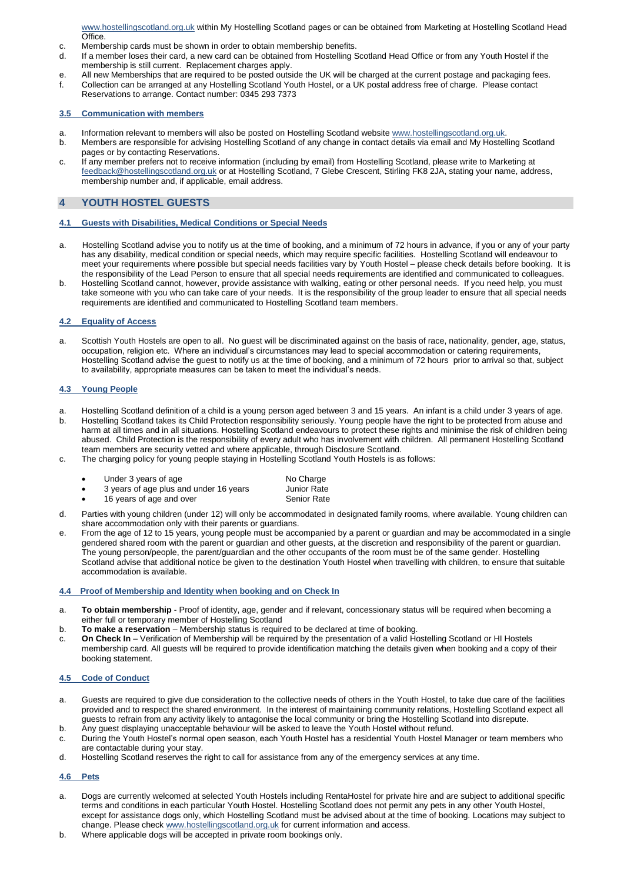[www.hostellingscotland.org.uk](http://www.hostellingscotland.org.uk/) within My Hostelling Scotland pages or can be obtained from Marketing at Hostelling Scotland Head Office.

- c. Membership cards must be shown in order to obtain membership benefits.<br>d. If a member loses their card, a new card can be obtained from Hostelling S
- If a member loses their card, a new card can be obtained from Hostelling Scotland Head Office or from any Youth Hostel if the membership is still current. Replacement charges apply.
- e. All new Memberships that are required to be posted outside the UK will be charged at the current postage and packaging fees.<br>f. Collection can be arranged at any Hostelling Scotland Youth Hostel, or a UK postal address f. Collection can be arranged at any Hostelling Scotland Youth Hostel, or a UK postal address free of charge. Please contact
- Reservations to arrange. Contact number: 0345 293 7373

# **3.5 Communication with members**

- a. Information relevant to members will also be posted on Hostelling Scotland website [www.hostellingscotland.org.uk.](http://www.hostellingscotland.org.uk/)
- b. Members are responsible for advising Hostelling Scotland of any change in contact details via email and My Hostelling Scotland pages or by contacting Reservations.
- c. If any member prefers not to receive information (including by email) from Hostelling Scotland, please write to Marketing at feedback@hostellingscotland.org.uk or at Hostelling Scotland, 7 Glebe Crescent, Stirling FK8 2JA, stating your name, address, membership number and, if applicable, email address.

# **4 YOUTH HOSTEL GUESTS**

# **4.1 Guests with Disabilities, Medical Conditions or Special Needs**

- a. Hostelling Scotland advise you to notify us at the time of booking, and a minimum of 72 hours in advance, if you or any of your party has any disability, medical condition or special needs, which may require specific facilities. Hostelling Scotland will endeavour to meet your requirements where possible but special needs facilities vary by Youth Hostel – please check details before booking. It is the responsibility of the Lead Person to ensure that all special needs requirements are identified and communicated to colleagues.
- b. Hostelling Scotland cannot, however, provide assistance with walking, eating or other personal needs. If you need help, you must take someone with you who can take care of your needs. It is the responsibility of the group leader to ensure that all special needs requirements are identified and communicated to Hostelling Scotland team members.

# **4.2 Equality of Access**

a. Scottish Youth Hostels are open to all. No guest will be discriminated against on the basis of race, nationality, gender, age, status, occupation, religion etc. Where an individual's circumstances may lead to special accommodation or catering requirements, Hostelling Scotland advise the guest to notify us at the time of booking, and a minimum of 72 hours prior to arrival so that, subject to availability, appropriate measures can be taken to meet the individual's needs.

# **4.3 Young People**

- a. Hostelling Scotland definition of a child is a young person aged between 3 and 15 years. An infant is a child under 3 years of age. b. Hostelling Scotland takes its Child Protection responsibility seriously. Young people have the right to be protected from abuse and harm at all times and in all situations. Hostelling Scotland endeavours to protect these rights and minimise the risk of children being abused. Child Protection is the responsibility of every adult who has involvement with children. All permanent Hostelling Scotland team members are security vetted and where applicable, through Disclosure Scotland.
- c. The charging policy for young people staying in Hostelling Scotland Youth Hostels is as follows:

| ٠ | Under 3 years of age                   | No Charge          |
|---|----------------------------------------|--------------------|
| ٠ | 3 years of age plus and under 16 years | Junior Rate        |
| ٠ | 16 years of age and over               | <b>Senior Rate</b> |

- d. Parties with young children (under 12) will only be accommodated in designated family rooms, where available. Young children can share accommodation only with their parents or guardians.
- e. From the age of 12 to 15 years, young people must be accompanied by a parent or guardian and may be accommodated in a single gendered shared room with the parent or guardian and other guests, at the discretion and responsibility of the parent or guardian. The young person/people, the parent/guardian and the other occupants of the room must be of the same gender. Hostelling Scotland advise that additional notice be given to the destination Youth Hostel when travelling with children, to ensure that suitable accommodation is available.

# **4.4 Proof of Membership and Identity when booking and on Check In**

- a. **To obtain membership** Proof of identity, age, gender and if relevant, concessionary status will be required when becoming a either full or temporary member of Hostelling Scotland
- b. **To make a reservation** Membership status is required to be declared at time of booking.
- c. **On Check In** Verification of Membership will be required by the presentation of a valid Hostelling Scotland or HI Hostels membership card. All guests will be required to provide identification matching the details given when booking and a copy of their booking statement.

# **4.5 Code of Conduct**

- a. Guests are required to give due consideration to the collective needs of others in the Youth Hostel, to take due care of the facilities provided and to respect the shared environment. In the interest of maintaining community relations, Hostelling Scotland expect all guests to refrain from any activity likely to antagonise the local community or bring the Hostelling Scotland into disrepute.
- b. Any guest displaying unacceptable behaviour will be asked to leave the Youth Hostel without refund. c. During the Youth Hostel's normal open season, each Youth Hostel has a residential Youth Hostel Manager or team members who are contactable during your stay.
- d. Hostelling Scotland reserves the right to call for assistance from any of the emergency services at any time.

# **4.6 Pets**

- a. Dogs are currently welcomed at selected Youth Hostels including RentaHostel for private hire and are subject to additional specific terms and conditions in each particular Youth Hostel. Hostelling Scotland does not permit any pets in any other Youth Hostel, except for assistance dogs only, which Hostelling Scotland must be advised about at the time of booking. Locations may subject to change. Please chec[k www.hostellingscotland.org.uk](http://www.hostellingscotland.org.uk/) for current information and access.
- b. Where applicable dogs will be accepted in private room bookings only.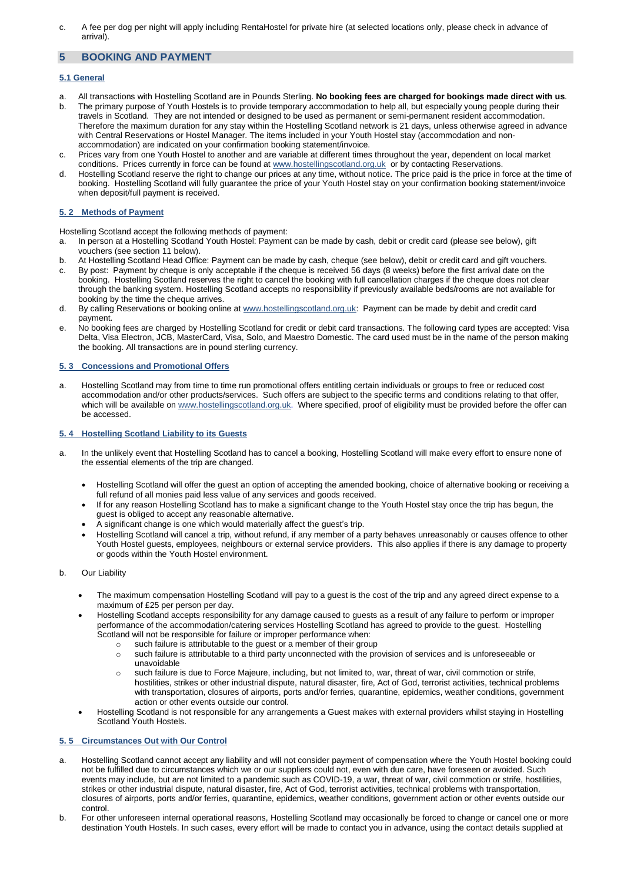c. A fee per dog per night will apply including RentaHostel for private hire (at selected locations only, please check in advance of arrival).

# **5 BOOKING AND PAYMENT**

# **5.1 General**

- a. All transactions with Hostelling Scotland are in Pounds Sterling. **No booking fees are charged for bookings made direct with us**.
- b. The primary purpose of Youth Hostels is to provide temporary accommodation to help all, but especially young people during their travels in Scotland. They are not intended or designed to be used as permanent or semi-permanent resident accommodation. Therefore the maximum duration for any stay within the Hostelling Scotland network is 21 days, unless otherwise agreed in advance with Central Reservations or Hostel Manager. The items included in your Youth Hostel stay (accommodation and nonaccommodation) are indicated on your confirmation booking statement/invoice.
- c. Prices vary from one Youth Hostel to another and are variable at different times throughout the year, dependent on local market conditions. Prices currently in force can be found a[t www.hostellingscotland.org.uk](http://www.hostellingscotland.org.uk/) or by contacting Reservations.
- d. Hostelling Scotland reserve the right to change our prices at any time, without notice. The price paid is the price in force at the time of booking. Hostelling Scotland will fully guarantee the price of your Youth Hostel stay on your confirmation booking statement/invoice when deposit/full payment is received.

# **5. 2 Methods of Payment**

Hostelling Scotland accept the following methods of payment:

- a. In person at a Hostelling Scotland Youth Hostel: Payment can be made by cash, debit or credit card (please see below), gift vouchers (see section 11 below).
- b. At Hostelling Scotland Head Office: Payment can be made by cash, cheque (see below), debit or credit card and gift vouchers.
- c. By post: Payment by cheque is only acceptable if the cheque is received 56 days (8 weeks) before the first arrival date on the booking. Hostelling Scotland reserves the right to cancel the booking with full cancellation charges if the cheque does not clear through the banking system. Hostelling Scotland accepts no responsibility if previously available beds/rooms are not available for booking by the time the cheque arrives.
- d. By calling Reservations or booking online at [www.hostellingscotland.org.uk:](http://www.hostellingscotland.org.uk/) Payment can be made by debit and credit card payment.
- e. No booking fees are charged by Hostelling Scotland for credit or debit card transactions. The following card types are accepted: Visa Delta, Visa Electron, JCB, MasterCard, Visa, Solo, and Maestro Domestic. The card used must be in the name of the person making the booking. All transactions are in pound sterling currency.

# **5. 3 Concessions and Promotional Offers**

a. Hostelling Scotland may from time to time run promotional offers entitling certain individuals or groups to free or reduced cost accommodation and/or other products/services. Such offers are subject to the specific terms and conditions relating to that offer, which will be available on [www.hostellingscotland.org.uk.](http://www.hostellingscotland.org.uk/) Where specified, proof of eligibility must be provided before the offer can be accessed.

# **5. 4 Hostelling Scotland Liability to its Guests**

- a. In the unlikely event that Hostelling Scotland has to cancel a booking, Hostelling Scotland will make every effort to ensure none of the essential elements of the trip are changed.
	- Hostelling Scotland will offer the guest an option of accepting the amended booking, choice of alternative booking or receiving a full refund of all monies paid less value of any services and goods received.
	- If for any reason Hostelling Scotland has to make a significant change to the Youth Hostel stay once the trip has begun, the guest is obliged to accept any reasonable alternative.
	- A significant change is one which would materially affect the guest's trip.
	- Hostelling Scotland will cancel a trip, without refund, if any member of a party behaves unreasonably or causes offence to other Youth Hostel guests, employees, neighbours or external service providers. This also applies if there is any damage to property or goods within the Youth Hostel environment.
- b. Our Liability
	- The maximum compensation Hostelling Scotland will pay to a guest is the cost of the trip and any agreed direct expense to a maximum of £25 per person per day.
	- Hostelling Scotland accepts responsibility for any damage caused to guests as a result of any failure to perform or improper performance of the accommodation/catering services Hostelling Scotland has agreed to provide to the guest. Hostelling Scotland will not be responsible for failure or improper performance when:
		- o such failure is attributable to the guest or a member of their group
		- o such failure is attributable to a third party unconnected with the provision of services and is unforeseeable or unavoidable
		- o such failure is due to Force Majeure, including, but not limited to, war, threat of war, civil commotion or strife, hostilities, strikes or other industrial dispute, natural disaster, fire, Act of God, terrorist activities, technical problems with transportation, closures of airports, ports and/or ferries, quarantine, epidemics, weather conditions, government action or other events outside our control.
	- Hostelling Scotland is not responsible for any arrangements a Guest makes with external providers whilst staying in Hostelling Scotland Youth Hostels.

# **5. 5 Circumstances Out with Our Control**

- a. Hostelling Scotland cannot accept any liability and will not consider payment of compensation where the Youth Hostel booking could not be fulfilled due to circumstances which we or our suppliers could not, even with due care, have foreseen or avoided. Such events may include, but are not limited to a pandemic such as COVID-19, a war, threat of war, civil commotion or strife, hostilities, strikes or other industrial dispute, natural disaster, fire, Act of God, terrorist activities, technical problems with transportation, closures of airports, ports and/or ferries, quarantine, epidemics, weather conditions, government action or other events outside our control.
- b. For other unforeseen internal operational reasons, Hostelling Scotland may occasionally be forced to change or cancel one or more destination Youth Hostels. In such cases, every effort will be made to contact you in advance, using the contact details supplied at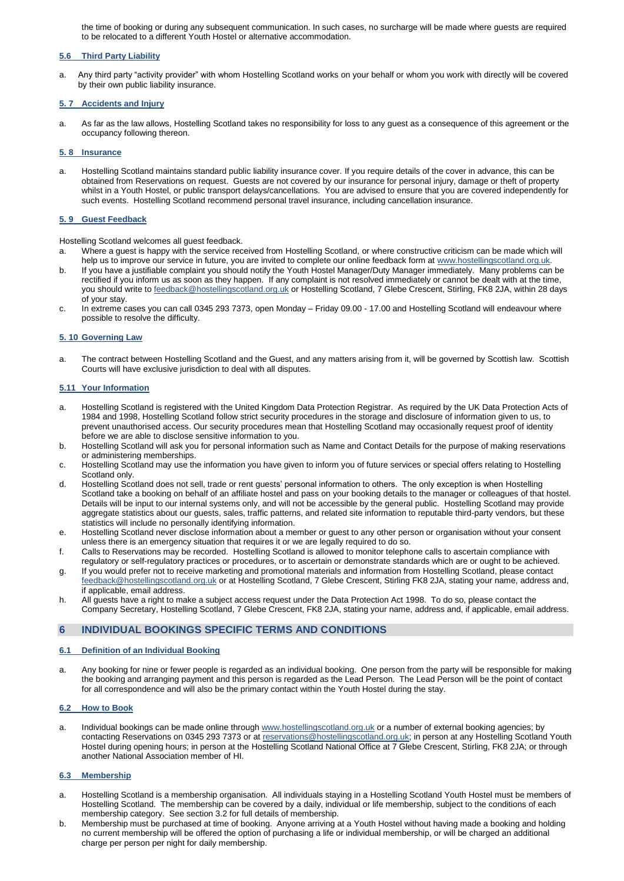the time of booking or during any subsequent communication. In such cases, no surcharge will be made where guests are required to be relocated to a different Youth Hostel or alternative accommodation.

#### **5.6 Third Party Liability**

a. Any third party "activity provider" with whom Hostelling Scotland works on your behalf or whom you work with directly will be covered by their own public liability insurance.

# **5. 7 Accidents and Injury**

a. As far as the law allows, Hostelling Scotland takes no responsibility for loss to any guest as a consequence of this agreement or the occupancy following thereon.

#### **5. 8 Insurance**

a. Hostelling Scotland maintains standard public liability insurance cover. If you require details of the cover in advance, this can be obtained from Reservations on request. Guests are not covered by our insurance for personal injury, damage or theft of property whilst in a Youth Hostel, or public transport delays/cancellations. You are advised to ensure that you are covered independently for such events. Hostelling Scotland recommend personal travel insurance, including cancellation insurance.

#### **5. 9 Guest Feedback**

Hostelling Scotland welcomes all guest feedback.

- a. Where a guest is happy with the service received from Hostelling Scotland, or where constructive criticism can be made which will help us to improve our service in future, you are invited to complete our online feedback form at [www.hostellingscotland.org.uk.](http://www.hostellingscotland.org.uk/)
- b. If you have a justifiable complaint you should notify the Youth Hostel Manager/Duty Manager immediately. Many problems can be rectified if you inform us as soon as they happen. If any complaint is not resolved immediately or cannot be dealt with at the time, you should write to feedback@hostellingscotland.org.uk or Hostelling Scotland, 7 Glebe Crescent, Stirling, FK8 2JA, within 28 days of your stay.
- c. In extreme cases you can call 0345 293 7373, open Monday Friday 09.00 17.00 and Hostelling Scotland will endeavour where possible to resolve the difficulty.

#### **5. 10 Governing Law**

a. The contract between Hostelling Scotland and the Guest, and any matters arising from it, will be governed by Scottish law. Scottish Courts will have exclusive jurisdiction to deal with all disputes.

### **5.11 Your Information**

- a. Hostelling Scotland is registered with the United Kingdom Data Protection Registrar. As required by the UK Data Protection Acts of 1984 and 1998, Hostelling Scotland follow strict security procedures in the storage and disclosure of information given to us, to prevent unauthorised access. Our security procedures mean that Hostelling Scotland may occasionally request proof of identity before we are able to disclose sensitive information to you.
- b. Hostelling Scotland will ask you for personal information such as Name and Contact Details for the purpose of making reservations or administering memberships.
- c. Hostelling Scotland may use the information you have given to inform you of future services or special offers relating to Hostelling Scotland only.
- d. Hostelling Scotland does not sell, trade or rent guests' personal information to others. The only exception is when Hostelling Scotland take a booking on behalf of an affiliate hostel and pass on your booking details to the manager or colleagues of that hostel. Details will be input to our internal systems only, and will not be accessible by the general public. Hostelling Scotland may provide aggregate statistics about our guests, sales, traffic patterns, and related site information to reputable third-party vendors, but these statistics will include no personally identifying information.
- e. Hostelling Scotland never disclose information about a member or guest to any other person or organisation without your consent unless there is an emergency situation that requires it or we are legally required to do so.
- f. Calls to Reservations may be recorded. Hostelling Scotland is allowed to monitor telephone calls to ascertain compliance with regulatory or self-regulatory practices or procedures, or to ascertain or demonstrate standards which are or ought to be achieved.
- g. If you would prefer not to receive marketing and promotional materials and information from Hostelling Scotland, please contact feedback@hostellingscotland.org.uk or at Hostelling Scotland, 7 Glebe Crescent, Stirling FK8 2JA, stating your name, address and, if applicable, email address.
- h. All guests have a right to make a subject access request under the Data Protection Act 1998. To do so, please contact the Company Secretary, Hostelling Scotland, 7 Glebe Crescent, FK8 2JA, stating your name, address and, if applicable, email address.

# **6 INDIVIDUAL BOOKINGS SPECIFIC TERMS AND CONDITIONS**

#### **6.1 Definition of an Individual Booking**

a. Any booking for nine or fewer people is regarded as an individual booking. One person from the party will be responsible for making the booking and arranging payment and this person is regarded as the Lead Person. The Lead Person will be the point of contact for all correspondence and will also be the primary contact within the Youth Hostel during the stay.

# **6.2 How to Book**

a. Individual bookings can be made online throug[h www.hostellingscotland.org.uk](http://www.syha.org.uk/) or a number of external booking agencies; by contacting Reservations on 0345 293 7373 or at [reservations@hostellingscotland.org.uk;](mailto:reservations@hostellingscotland.org.uk) in person at any Hostelling Scotland Youth Hostel during opening hours; in person at the Hostelling Scotland National Office at 7 Glebe Crescent, Stirling, FK8 2JA; or through another National Association member of HI.

#### **6.3 Membership**

- a. Hostelling Scotland is a membership organisation. All individuals staying in a Hostelling Scotland Youth Hostel must be members of Hostelling Scotland. The membership can be covered by a daily, individual or life membership, subject to the conditions of each membership category. See section 3.2 for full details of membership.
- b. Membership must be purchased at time of booking. Anyone arriving at a Youth Hostel without having made a booking and holding no current membership will be offered the option of purchasing a life or individual membership, or will be charged an additional charge per person per night for daily membership.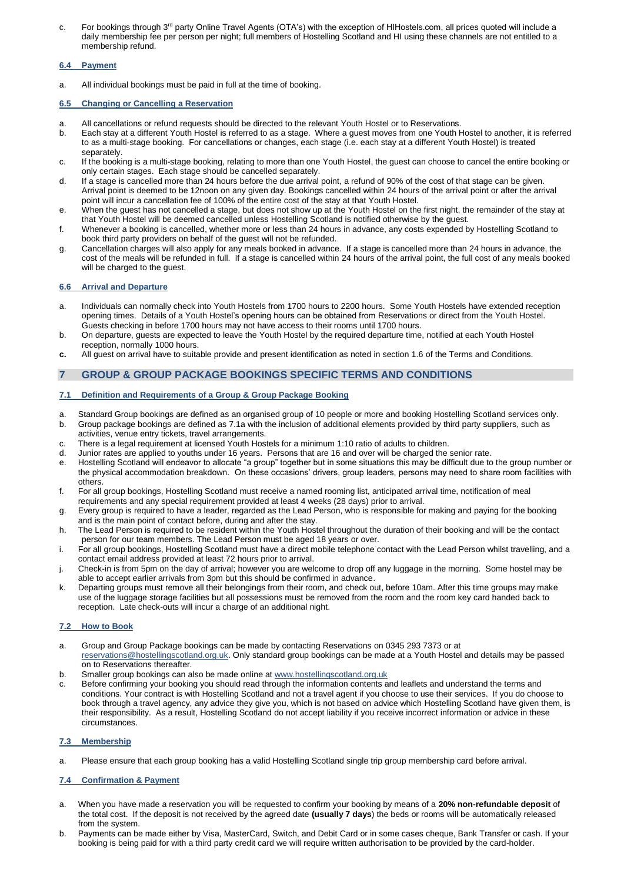c. For bookings through 3rd party Online Travel Agents (OTA's) with the exception of HIHostels.com, all prices quoted will include a daily membership fee per person per night; full members of Hostelling Scotland and HI using these channels are not entitled to a membership refund.

# **6.4 Payment**

a. All individual bookings must be paid in full at the time of booking.

# **6.5 Changing or Cancelling a Reservation**

- a. All cancellations or refund requests should be directed to the relevant Youth Hostel or to Reservations.
- b. Each stay at a different Youth Hostel is referred to as a stage. Where a guest moves from one Youth Hostel to another, it is referred to as a multi-stage booking. For cancellations or changes, each stage (i.e. each stay at a different Youth Hostel) is treated separately.
- c. If the booking is a multi-stage booking, relating to more than one Youth Hostel, the guest can choose to cancel the entire booking or only certain stages. Each stage should be cancelled separately.
- d. If a stage is cancelled more than 24 hours before the due arrival point, a refund of 90% of the cost of that stage can be given. Arrival point is deemed to be 12noon on any given day. Bookings cancelled within 24 hours of the arrival point or after the arrival point will incur a cancellation fee of 100% of the entire cost of the stay at that Youth Hostel.
- e. When the guest has not cancelled a stage, but does not show up at the Youth Hostel on the first night, the remainder of the stay at that Youth Hostel will be deemed cancelled unless Hostelling Scotland is notified otherwise by the guest.
- f. Whenever a booking is cancelled, whether more or less than 24 hours in advance, any costs expended by Hostelling Scotland to book third party providers on behalf of the guest will not be refunded.
- g. Cancellation charges will also apply for any meals booked in advance. If a stage is cancelled more than 24 hours in advance, the cost of the meals will be refunded in full. If a stage is cancelled within 24 hours of the arrival point, the full cost of any meals booked will be charged to the guest.

# **6.6 Arrival and Departure**

- a. Individuals can normally check into Youth Hostels from 1700 hours to 2200 hours. Some Youth Hostels have extended reception opening times. Details of a Youth Hostel's opening hours can be obtained from Reservations or direct from the Youth Hostel. Guests checking in before 1700 hours may not have access to their rooms until 1700 hours.
- b. On departure, guests are expected to leave the Youth Hostel by the required departure time, notified at each Youth Hostel reception, normally 1000 hours.
- **c.** All guest on arrival have to suitable provide and present identification as noted in section 1.6 of the Terms and Conditions.

# **7 GROUP & GROUP PACKAGE BOOKINGS SPECIFIC TERMS AND CONDITIONS**

# **7.1 Definition and Requirements of a Group & Group Package Booking**

- a. Standard Group bookings are defined as an organised group of 10 people or more and booking Hostelling Scotland services only.
- b. Group package bookings are defined as 7.1a with the inclusion of additional elements provided by third party suppliers, such as activities, venue entry tickets, travel arrangements.
- c. There is a legal requirement at licensed Youth Hostels for a minimum 1:10 ratio of adults to children.
- Junior rates are applied to youths under 16 years. Persons that are 16 and over will be charged the senior rate.
- e. Hostelling Scotland will endeavor to allocate "a group" together but in some situations this may be difficult due to the group number or the physical accommodation breakdown. On these occasions' drivers, group leaders, persons may need to share room facilities with others.
- f. For all group bookings, Hostelling Scotland must receive a named rooming list, anticipated arrival time, notification of meal requirements and any special requirement provided at least 4 weeks (28 days) prior to arrival.
- g. Every group is required to have a leader, regarded as the Lead Person, who is responsible for making and paying for the booking and is the main point of contact before, during and after the stay.
- h. The Lead Person is required to be resident within the Youth Hostel throughout the duration of their booking and will be the contact person for our team members. The Lead Person must be aged 18 years or over.
- i. For all group bookings, Hostelling Scotland must have a direct mobile telephone contact with the Lead Person whilst travelling, and a contact email address provided at least 72 hours prior to arrival.
- j. Check-in is from 5pm on the day of arrival; however you are welcome to drop off any luggage in the morning. Some hostel may be able to accept earlier arrivals from 3pm but this should be confirmed in advance.
- k. Departing groups must remove all their belongings from their room, and check out, before 10am. After this time groups may make use of the luggage storage facilities but all possessions must be removed from the room and the room key card handed back to reception. Late check-outs will incur a charge of an additional night.

# **7.2 How to Book**

- a. Group and Group Package bookings can be made by contacting Reservations on 0345 293 7373 or at [reservations@hostellingscotland.org.uk.](mailto:reservations@hostellingscotland.org.uk) Only standard group bookings can be made at a Youth Hostel and details may be passed on to Reservations thereafter.
- b. Smaller group bookings can also be made online at [www.hostellingscotland.org.uk](http://www.hostellingscotland.org.uk/)
- c. Before confirming your booking you should read through the information contents and leaflets and understand the terms and conditions. Your contract is with Hostelling Scotland and not a travel agent if you choose to use their services. If you do choose to book through a travel agency, any advice they give you, which is not based on advice which Hostelling Scotland have given them, is their responsibility. As a result, Hostelling Scotland do not accept liability if you receive incorrect information or advice in these circumstances.

#### **7.3 Membership**

a. Please ensure that each group booking has a valid Hostelling Scotland single trip group membership card before arrival.

#### **7.4 Confirmation & Payment**

- a. When you have made a reservation you will be requested to confirm your booking by means of a **20% non-refundable deposit** of the total cost. If the deposit is not received by the agreed date **(usually 7 days**) the beds or rooms will be automatically released from the system.
- b. Payments can be made either by Visa, MasterCard, Switch, and Debit Card or in some cases cheque, Bank Transfer or cash. If your booking is being paid for with a third party credit card we will require written authorisation to be provided by the card-holder.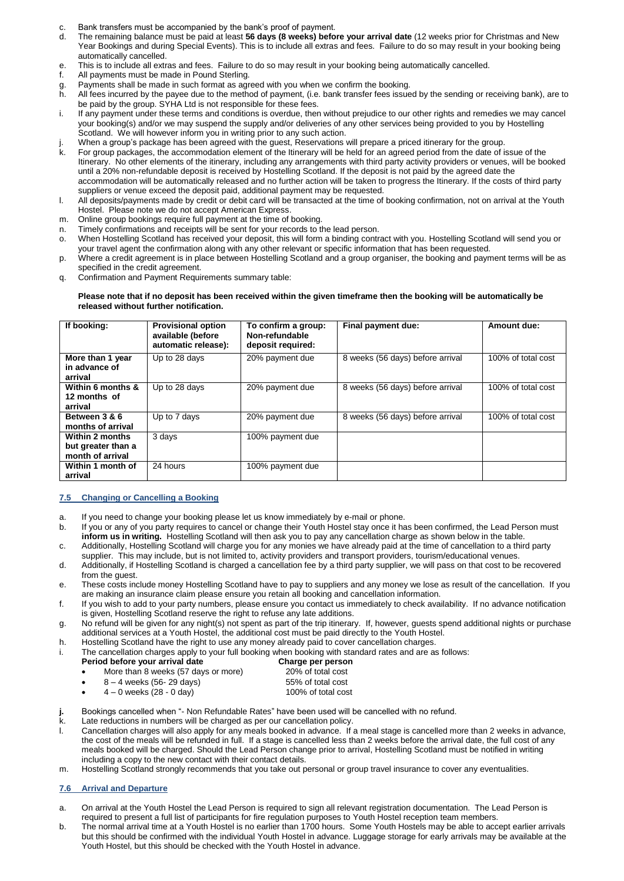- c. Bank transfers must be accompanied by the bank's proof of payment.<br>d. The remaining balance must be paid at least **56 days (8 weeks) before**
- d. The remaining balance must be paid at least **56 days (8 weeks) before your arrival date** (12 weeks prior for Christmas and New Year Bookings and during Special Events). This is to include all extras and fees. Failure to do so may result in your booking being automatically cancelled.
- e. This is to include all extras and fees. Failure to do so may result in your booking being automatically cancelled.<br>f. All payments must be made in Pound Sterling.
- All payments must be made in Pound Sterling.
- g. Payments shall be made in such format as agreed with you when we confirm the booking.<br>h. All fees incurred by the payee due to the method of payment, (i.e. bank transfer fees issue
- All fees incurred by the payee due to the method of payment, (i.e. bank transfer fees issued by the sending or receiving bank), are to be paid by the group. SYHA Ltd is not responsible for these fees.
- i. If any payment under these terms and conditions is overdue, then without prejudice to our other rights and remedies we may cancel your booking(s) and/or we may suspend the supply and/or deliveries of any other services being provided to you by Hostelling Scotland. We will however inform you in writing prior to any such action.
- j. When a group's package has been agreed with the guest, Reservations will prepare a priced itinerary for the group.<br>k. For group packages, the accommodation element of the Itinerary will be held for an agreed period from
- For group packages, the accommodation element of the Itinerary will be held for an agreed period from the date of issue of the Itinerary. No other elements of the itinerary, including any arrangements with third party activity providers or venues, will be booked until a 20% non-refundable deposit is received by Hostelling Scotland. If the deposit is not paid by the agreed date the accommodation will be automatically released and no further action will be taken to progress the Itinerary. If the costs of third party suppliers or venue exceed the deposit paid, additional payment may be requested.
- l. All deposits/payments made by credit or debit card will be transacted at the time of booking confirmation, not on arrival at the Youth Hostel. Please note we do not accept American Express.
- m. Online group bookings require full payment at the time of booking.
- n. Timely confirmations and receipts will be sent for your records to the lead person.
- o. When Hostelling Scotland has received your deposit, this will form a binding contract with you. Hostelling Scotland will send you or your travel agent the confirmation along with any other relevant or specific information that has been requested.
- p. Where a credit agreement is in place between Hostelling Scotland and a group organiser, the booking and payment terms will be as specified in the credit agreement.
- q. Confirmation and Payment Requirements summary table:

#### **Please note that if no deposit has been received within the given timeframe then the booking will be automatically be released without further notification.**

| If booking:                                               | <b>Provisional option</b><br>available (before<br>automatic release): | To confirm a group:<br>Non-refundable<br>deposit required: | Final payment due:               | Amount due:        |
|-----------------------------------------------------------|-----------------------------------------------------------------------|------------------------------------------------------------|----------------------------------|--------------------|
| More than 1 year<br>in advance of<br>arrival              | Up to 28 days                                                         | 20% payment due                                            | 8 weeks (56 days) before arrival | 100% of total cost |
| Within 6 months &<br>12 months of<br>arrival              | Up to 28 days                                                         | 20% payment due                                            | 8 weeks (56 days) before arrival | 100% of total cost |
| Between 3 & 6<br>months of arrival                        | Up to 7 days                                                          | 20% payment due                                            | 8 weeks (56 days) before arrival | 100% of total cost |
| Within 2 months<br>but greater than a<br>month of arrival | 3 days                                                                | 100% payment due                                           |                                  |                    |
| Within 1 month of<br>arrival                              | 24 hours                                                              | 100% payment due                                           |                                  |                    |

# **7.5 Changing or Cancelling a Booking**

- a. If you need to change your booking please let us know immediately by e-mail or phone.
- b. If you or any of you party requires to cancel or change their Youth Hostel stay once it has been confirmed, the Lead Person must **inform us in writing.** Hostelling Scotland will then ask you to pay any cancellation charge as shown below in the table.
- c. Additionally, Hostelling Scotland will charge you for any monies we have already paid at the time of cancellation to a third party supplier. This may include, but is not limited to, activity providers and transport providers, tourism/educational venues.
- d. Additionally, if Hostelling Scotland is charged a cancellation fee by a third party supplier, we will pass on that cost to be recovered from the guest.
- e. These costs include money Hostelling Scotland have to pay to suppliers and any money we lose as result of the cancellation. If you are making an insurance claim please ensure you retain all booking and cancellation information.
- f. If you wish to add to your party numbers, please ensure you contact us immediately to check availability. If no advance notification is given, Hostelling Scotland reserve the right to refuse any late additions.
- g. No refund will be given for any night(s) not spent as part of the trip itinerary. If, however, guests spend additional nights or purchase additional services at a Youth Hostel, the additional cost must be paid directly to the Youth Hostel.

**Charge per person** 

- h. Hostelling Scotland have the right to use any money already paid to cover cancellation charges.
- i. The cancellation charges apply to your full booking when booking with standard rates and are as follows:

|                                 |  |  | ______ |
|---------------------------------|--|--|--------|
| Period before your arrival date |  |  |        |

# More than 8 weeks (57 days or more) 20% of total cost<br>8 - 4 weeks (56-29 days) 55% of total cost

- $8 4$  weeks (56-29 days) 4 – 0 weeks (28 - 0 day) 100% of total cost
- **j.** Bookings cancelled when "- Non Refundable Rates" have been used will be cancelled with no refund.
- k. Late reductions in numbers will be charged as per our cancellation policy.
- l. Cancellation charges will also apply for any meals booked in advance. If a meal stage is cancelled more than 2 weeks in advance, the cost of the meals will be refunded in full. If a stage is cancelled less than 2 weeks before the arrival date, the full cost of any meals booked will be charged. Should the Lead Person change prior to arrival, Hostelling Scotland must be notified in writing including a copy to the new contact with their contact details.
- m. Hostelling Scotland strongly recommends that you take out personal or group travel insurance to cover any eventualities.

## **7.6 Arrival and Departure**

- a. On arrival at the Youth Hostel the Lead Person is required to sign all relevant registration documentation. The Lead Person is required to present a full list of participants for fire regulation purposes to Youth Hostel reception team members.
- b. The normal arrival time at a Youth Hostel is no earlier than 1700 hours. Some Youth Hostels may be able to accept earlier arrivals but this should be confirmed with the individual Youth Hostel in advance. Luggage storage for early arrivals may be available at the Youth Hostel, but this should be checked with the Youth Hostel in advance.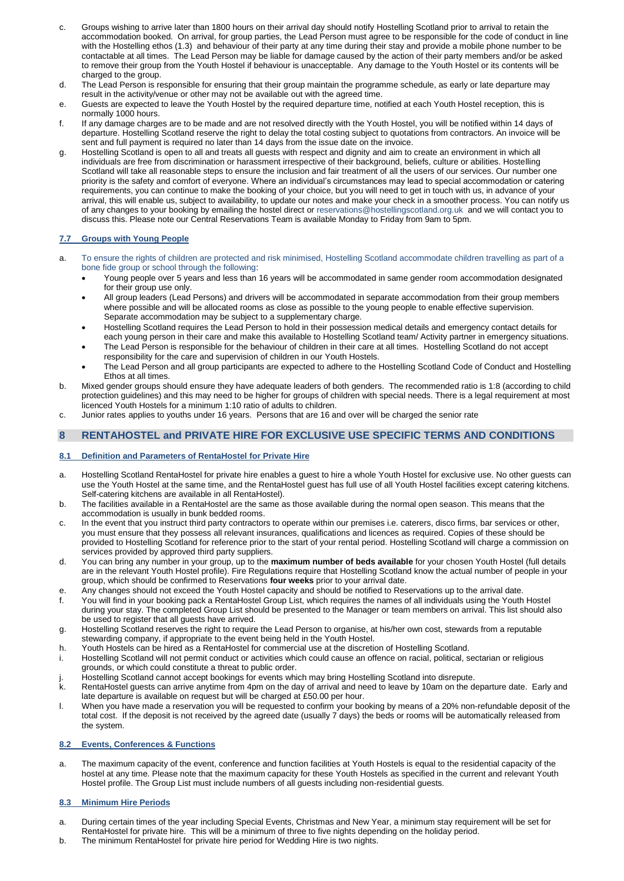- c. Groups wishing to arrive later than 1800 hours on their arrival day should notify Hostelling Scotland prior to arrival to retain the accommodation booked. On arrival, for group parties, the Lead Person must agree to be responsible for the code of conduct in line with the Hostelling ethos (1.3) and behaviour of their party at any time during their stay and provide a mobile phone number to be contactable at all times. The Lead Person may be liable for damage caused by the action of their party members and/or be asked to remove their group from the Youth Hostel if behaviour is unacceptable. Any damage to the Youth Hostel or its contents will be charged to the group.
- d. The Lead Person is responsible for ensuring that their group maintain the programme schedule, as early or late departure may result in the activity/venue or other may not be available out with the agreed time.
- e. Guests are expected to leave the Youth Hostel by the required departure time, notified at each Youth Hostel reception, this is normally 1000 hours.
- f. If any damage charges are to be made and are not resolved directly with the Youth Hostel, you will be notified within 14 days of departure. Hostelling Scotland reserve the right to delay the total costing subject to quotations from contractors. An invoice will be sent and full payment is required no later than 14 days from the issue date on the invoice.
- g. Hostelling Scotland is open to all and treats all guests with respect and dignity and aim to create an environment in which all individuals are free from discrimination or harassment irrespective of their background, beliefs, culture or abilities. Hostelling Scotland will take all reasonable steps to ensure the inclusion and fair treatment of all the users of our services. Our number one priority is the safety and comfort of everyone. Where an individual's circumstances may lead to special accommodation or catering requirements, you can continue to make the booking of your choice, but you will need to get in touch with us, in advance of your arrival, this will enable us, subject to availability, to update our notes and make your check in a smoother process. You can notify us of any changes to your booking by emailing the hostel direct or [reservations@hostellingscotland.org.uk](mailto:reservations@hostellingscotland.org.uk) and we will contact you to discuss this. Please note our Central Reservations Team is available Monday to Friday from 9am to 5pm.

# **7.7 Groups with Young People**

- a. To ensure the rights of children are protected and risk minimised, Hostelling Scotland accommodate children travelling as part of a bone fide group or school through the following:
	- Young people over 5 years and less than 16 years will be accommodated in same gender room accommodation designated for their group use only.
	- All group leaders (Lead Persons) and drivers will be accommodated in separate accommodation from their group members where possible and will be allocated rooms as close as possible to the young people to enable effective supervision. Separate accommodation may be subject to a supplementary charge.
	- Hostelling Scotland requires the Lead Person to hold in their possession medical details and emergency contact details for each young person in their care and make this available to Hostelling Scotland team/ Activity partner in emergency situations.
	- The Lead Person is responsible for the behaviour of children in their care at all times. Hostelling Scotland do not accept responsibility for the care and supervision of children in our Youth Hostels.
	- The Lead Person and all group participants are expected to adhere to the Hostelling Scotland Code of Conduct and Hostelling Ethos at all times.
- b. Mixed gender groups should ensure they have adequate leaders of both genders. The recommended ratio is 1:8 (according to child protection guidelines) and this may need to be higher for groups of children with special needs. There is a legal requirement at most licenced Youth Hostels for a minimum 1:10 ratio of adults to children.
- c. Junior rates applies to youths under 16 years. Persons that are 16 and over will be charged the senior rate

# **8 RENTAHOSTEL and PRIVATE HIRE FOR EXCLUSIVE USE SPECIFIC TERMS AND CONDITIONS**

# **8.1 Definition and Parameters of RentaHostel for Private Hire**

- a. Hostelling Scotland RentaHostel for private hire enables a guest to hire a whole Youth Hostel for exclusive use. No other guests can use the Youth Hostel at the same time, and the RentaHostel guest has full use of all Youth Hostel facilities except catering kitchens. Self-catering kitchens are available in all RentaHostel).
- b. The facilities available in a RentaHostel are the same as those available during the normal open season. This means that the accommodation is usually in bunk bedded rooms.
- c. In the event that you instruct third party contractors to operate within our premises i.e. caterers, disco firms, bar services or other, you must ensure that they possess all relevant insurances, qualifications and licences as required. Copies of these should be provided to Hostelling Scotland for reference prior to the start of your rental period. Hostelling Scotland will charge a commission on services provided by approved third party suppliers.
- d. You can bring any number in your group, up to the **maximum number of beds available** for your chosen Youth Hostel (full details are in the relevant Youth Hostel profile). Fire Regulations require that Hostelling Scotland know the actual number of people in your group, which should be confirmed to Reservations **four weeks** prior to your arrival date.
- e. Any changes should not exceed the Youth Hostel capacity and should be notified to Reservations up to the arrival date.
- f. You will find in your booking pack a RentaHostel Group List, which requires the names of all individuals using the Youth Hostel during your stay. The completed Group List should be presented to the Manager or team members on arrival. This list should also be used to register that all guests have arrived.
- g. Hostelling Scotland reserves the right to require the Lead Person to organise, at his/her own cost, stewards from a reputable stewarding company, if appropriate to the event being held in the Youth Hostel.
- h. Youth Hostels can be hired as a RentaHostel for commercial use at the discretion of Hostelling Scotland.
- i. Hostelling Scotland will not permit conduct or activities which could cause an offence on racial, political, sectarian or religious grounds, or which could constitute a threat to public order.
- j. Hostelling Scotland cannot accept bookings for events which may bring Hostelling Scotland into disrepute.<br>k. RentaHostel quests can arrive anytime from 4pm on the day of arrival and need to leave by 10am on the d
- RentaHostel guests can arrive anytime from 4pm on the day of arrival and need to leave by 10am on the departure date. Early and late departure is available on request but will be charged at £50.00 per hour.
- l. When you have made a reservation you will be requested to confirm your booking by means of a 20% non-refundable deposit of the total cost. If the deposit is not received by the agreed date (usually 7 days) the beds or rooms will be automatically released from the system.

# **8.2 Events, Conferences & Functions**

a. The maximum capacity of the event, conference and function facilities at Youth Hostels is equal to the residential capacity of the hostel at any time. Please note that the maximum capacity for these Youth Hostels as specified in the current and relevant Youth Hostel profile. The Group List must include numbers of all guests including non-residential guests.

## **8.3 Minimum Hire Periods**

- a. During certain times of the year including Special Events, Christmas and New Year, a minimum stay requirement will be set for RentaHostel for private hire. This will be a minimum of three to five nights depending on the holiday period.
- b. The minimum RentaHostel for private hire period for Wedding Hire is two nights.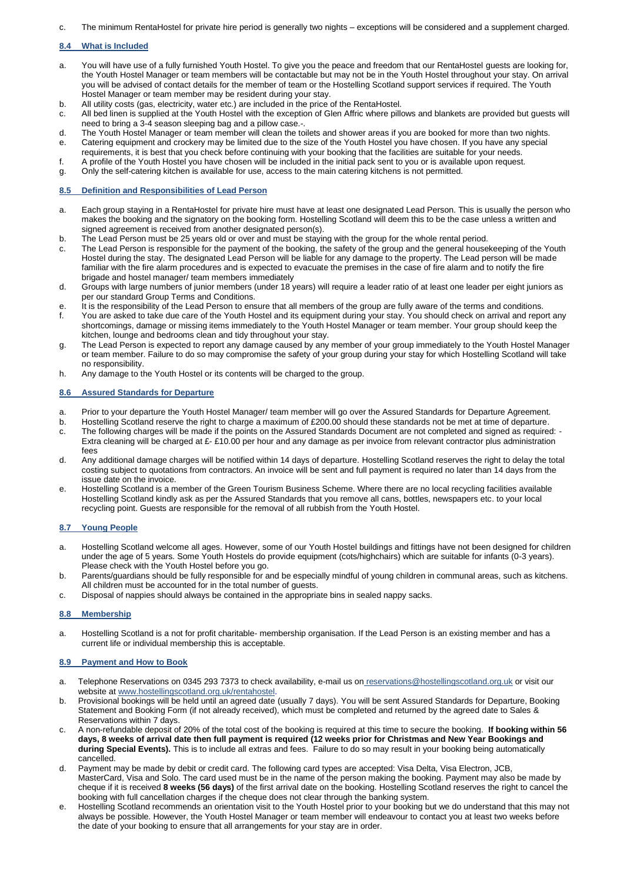c. The minimum RentaHostel for private hire period is generally two nights – exceptions will be considered and a supplement charged.

# **8.4 What is Included**

- a. You will have use of a fully furnished Youth Hostel. To give you the peace and freedom that our RentaHostel guests are looking for, the Youth Hostel Manager or team members will be contactable but may not be in the Youth Hostel throughout your stay. On arrival you will be advised of contact details for the member of team or the Hostelling Scotland support services if required. The Youth Hostel Manager or team member may be resident during your stay.
- b. All utility costs (gas, electricity, water etc.) are included in the price of the RentaHostel.
- c. All bed linen is supplied at the Youth Hostel with the exception of Glen Affric where pillows and blankets are provided but guests will need to bring a 3-4 season sleeping bag and a pillow case.-.
- d. The Youth Hostel Manager or team member will clean the toilets and shower areas if you are booked for more than two nights. e. Catering equipment and crockery may be limited due to the size of the Youth Hostel you have chosen. If you have any special
- requirements, it is best that you check before continuing with your booking that the facilities are suitable for your needs. f. A profile of the Youth Hostel you have chosen will be included in the initial pack sent to you or is available upon request.
- g. Only the self-catering kitchen is available for use, access to the main catering kitchens is not permitted.

#### **8.5 Definition and Responsibilities of Lead Person**

- a. Each group staying in a RentaHostel for private hire must have at least one designated Lead Person. This is usually the person who makes the booking and the signatory on the booking form. Hostelling Scotland will deem this to be the case unless a written and signed agreement is received from another designated person(s).
- b. The Lead Person must be 25 years old or over and must be staying with the group for the whole rental period.
- c. The Lead Person is responsible for the payment of the booking, the safety of the group and the general housekeeping of the Youth Hostel during the stay. The designated Lead Person will be liable for any damage to the property. The Lead person will be made familiar with the fire alarm procedures and is expected to evacuate the premises in the case of fire alarm and to notify the fire brigade and hostel manager/ team members immediately
- d. Groups with large numbers of junior members (under 18 years) will require a leader ratio of at least one leader per eight juniors as per our standard Group Terms and Conditions.
- e. It is the responsibility of the Lead Person to ensure that all members of the group are fully aware of the terms and conditions.
- f. You are asked to take due care of the Youth Hostel and its equipment during your stay. You should check on arrival and report any shortcomings, damage or missing items immediately to the Youth Hostel Manager or team member. Your group should keep the kitchen, lounge and bedrooms clean and tidy throughout your stay.
- g. The Lead Person is expected to report any damage caused by any member of your group immediately to the Youth Hostel Manager or team member. Failure to do so may compromise the safety of your group during your stay for which Hostelling Scotland will take no responsibility.
- h. Any damage to the Youth Hostel or its contents will be charged to the group.

# **8.6 Assured Standards for Departure**

- a. Prior to your departure the Youth Hostel Manager/ team member will go over the Assured Standards for Departure Agreement.
- b. Hostelling Scotland reserve the right to charge a maximum of £200.00 should these standards not be met at time of departure.
- c. The following charges will be made if the points on the Assured Standards Document are not completed and signed as required: Extra cleaning will be charged at £- £10.00 per hour and any damage as per invoice from relevant contractor plus administration fees
- d. Any additional damage charges will be notified within 14 days of departure. Hostelling Scotland reserves the right to delay the total costing subject to quotations from contractors. An invoice will be sent and full payment is required no later than 14 days from the issue date on the invoice.
- e. Hostelling Scotland is a member of the Green Tourism Business Scheme. Where there are no local recycling facilities available Hostelling Scotland kindly ask as per the Assured Standards that you remove all cans, bottles, newspapers etc. to your local recycling point. Guests are responsible for the removal of all rubbish from the Youth Hostel.

#### **8.7 Young People**

- a. Hostelling Scotland welcome all ages. However, some of our Youth Hostel buildings and fittings have not been designed for children under the age of 5 years. Some Youth Hostels do provide equipment (cots/highchairs) which are suitable for infants (0-3 years). Please check with the Youth Hostel before you go.
- b. Parents/guardians should be fully responsible for and be especially mindful of young children in communal areas, such as kitchens. All children must be accounted for in the total number of guests.
- c. Disposal of nappies should always be contained in the appropriate bins in sealed nappy sacks.

#### **8.8 Membership**

a. Hostelling Scotland is a not for profit charitable- membership organisation. If the Lead Person is an existing member and has a current life or individual membership this is acceptable.

#### **8.9 Payment and How to Book**

- a. Telephone Reservations on 0345 293 7373 to check availability, e-mail us on [reservations@hostellingscotland.org.uk](mailto:reservations@hostellingscotland.org.uk) or visit our website at www.hostellingscotland.org.uk/rentahostel.
- b. Provisional bookings will be held until an agreed date (usually 7 days). You will be sent Assured Standards for Departure, Booking Statement and Booking Form (if not already received), which must be completed and returned by the agreed date to Sales & Reservations within 7 days.
- c. A non-refundable deposit of 20% of the total cost of the booking is required at this time to secure the booking. **If booking within 56 days, 8 weeks of arrival date then full payment is required (12 weeks prior for Christmas and New Year Bookings and during Special Events).** This is to include all extras and fees. Failure to do so may result in your booking being automatically cancelled.
- d. Payment may be made by debit or credit card. The following card types are accepted: Visa Delta, Visa Electron, JCB, MasterCard, Visa and Solo. The card used must be in the name of the person making the booking. Payment may also be made by cheque if it is received **8 weeks (56 days)** of the first arrival date on the booking. Hostelling Scotland reserves the right to cancel the booking with full cancellation charges if the cheque does not clear through the banking system.
- e. Hostelling Scotland recommends an orientation visit to the Youth Hostel prior to your booking but we do understand that this may not always be possible. However, the Youth Hostel Manager or team member will endeavour to contact you at least two weeks before the date of your booking to ensure that all arrangements for your stay are in order.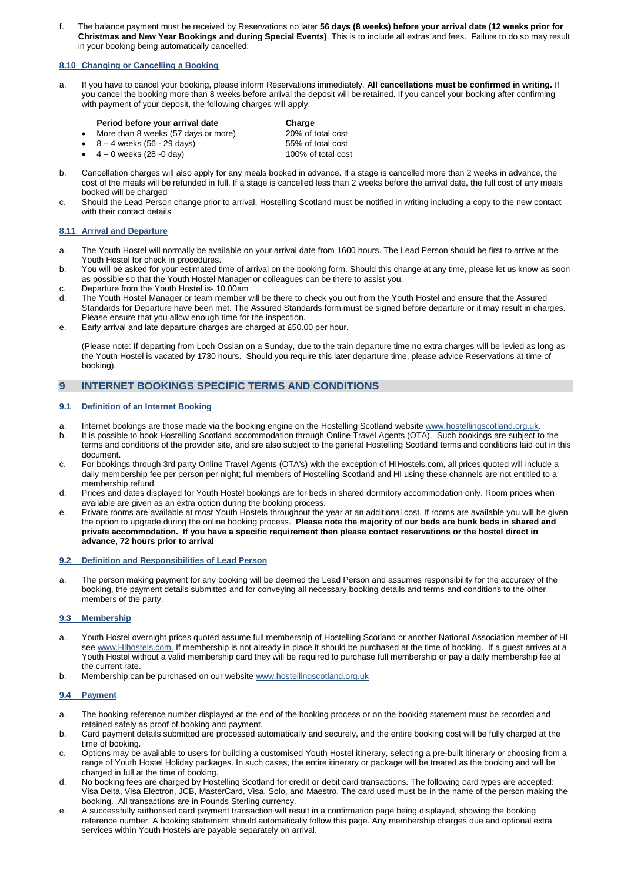f. The balance payment must be received by Reservations no later **56 days (8 weeks) before your arrival date (12 weeks prior for Christmas and New Year Bookings and during Special Events)**. This is to include all extras and fees. Failure to do so may result in your booking being automatically cancelled.

# **8.10 Changing or Cancelling a Booking**

a. If you have to cancel your booking, please inform Reservations immediately. **All cancellations must be confirmed in writing.** If you cancel the booking more than 8 weeks before arrival the deposit will be retained. If you cancel your booking after confirming with payment of your deposit, the following charges will apply:

# **Period before your arrival date Charge Charge More than 8 weeks (57 days or more) COMP** 20% of total cost

- More than 8 weeks (57 days or more) 20% of total cost 8 4 weeks (56 29 days)
- $8 4$  weeks (56 29 days) 55% of total cost<br>  $4 0$  weeks (28 -0 day) 65% of total cost
- $4 0$  weeks (28 -0 day)
- b. Cancellation charges will also apply for any meals booked in advance. If a stage is cancelled more than 2 weeks in advance, the cost of the meals will be refunded in full. If a stage is cancelled less than 2 weeks before the arrival date, the full cost of any meals booked will be charged
- c. Should the Lead Person change prior to arrival, Hostelling Scotland must be notified in writing including a copy to the new contact with their contact details

#### **8.11 Arrival and Departure**

- a. The Youth Hostel will normally be available on your arrival date from 1600 hours. The Lead Person should be first to arrive at the Youth Hostel for check in procedures.
- b. You will be asked for your estimated time of arrival on the booking form. Should this change at any time, please let us know as soon as possible so that the Youth Hostel Manager or colleagues can be there to assist you.
- c. Departure from the Youth Hostel is- 10.00am
- d. The Youth Hostel Manager or team member will be there to check you out from the Youth Hostel and ensure that the Assured Standards for Departure have been met. The Assured Standards form must be signed before departure or it may result in charges. Please ensure that you allow enough time for the inspection.
- e. Early arrival and late departure charges are charged at £50.00 per hour.

(Please note: If departing from Loch Ossian on a Sunday, due to the train departure time no extra charges will be levied as long as the Youth Hostel is vacated by 1730 hours. Should you require this later departure time, please advice Reservations at time of booking).

# **9 INTERNET BOOKINGS SPECIFIC TERMS AND CONDITIONS**

# **9.1 Definition of an Internet Booking**

- a. Internet bookings are those made via the booking engine on the Hostelling Scotland websit[e www.hostellingscotland.org.uk.](http://www.hostellingscotland.org.uk/)
- b. It is possible to book Hostelling Scotland accommodation through Online Travel Agents (OTA). Such bookings are subject to the terms and conditions of the provider site, and are also subject to the general Hostelling Scotland terms and conditions laid out in this document.
- c. For bookings through 3rd party Online Travel Agents (OTA's) with the exception of HIHostels.com, all prices quoted will include a daily membership fee per person per night; full members of Hostelling Scotland and HI using these channels are not entitled to a membership refund
- d. Prices and dates displayed for Youth Hostel bookings are for beds in shared dormitory accommodation only. Room prices when available are given as an extra option during the booking process.
- e. Private rooms are available at most Youth Hostels throughout the year at an additional cost. If rooms are available you will be given the option to upgrade during the online booking process. **Please note the majority of our beds are bunk beds in shared and private accommodation. If you have a specific requirement then please contact reservations or the hostel direct in advance, 72 hours prior to arrival**

#### **9.2 Definition and Responsibilities of Lead Person**

a. The person making payment for any booking will be deemed the Lead Person and assumes responsibility for the accuracy of the booking, the payment details submitted and for conveying all necessary booking details and terms and conditions to the other members of the party.

# **9.3 Membership**

- a. Youth Hostel overnight prices quoted assume full membership of Hostelling Scotland or another National Association member of HI se[e www.HIhostels.com.](http://www.iyhf.org/) If membership is not already in place it should be purchased at the time of booking. If a guest arrives at a Youth Hostel without a valid membership card they will be required to purchase full membership or pay a daily membership fee at the current rate.
- b. Membership can be purchased on our websit[e www.hostellingscotland.org.uk](http://www.hostellingscotland.org.uk/)

## **9.4 Payment**

- a. The booking reference number displayed at the end of the booking process or on the booking statement must be recorded and retained safely as proof of booking and payment.
- b. Card payment details submitted are processed automatically and securely, and the entire booking cost will be fully charged at the time of booking.
- c. Options may be available to users for building a customised Youth Hostel itinerary, selecting a pre-built itinerary or choosing from a range of Youth Hostel Holiday packages. In such cases, the entire itinerary or package will be treated as the booking and will be charged in full at the time of booking.
- d. No booking fees are charged by Hostelling Scotland for credit or debit card transactions. The following card types are accepted: Visa Delta, Visa Electron, JCB, MasterCard, Visa, Solo, and Maestro. The card used must be in the name of the person making the booking. All transactions are in Pounds Sterling currency.
- e. A successfully authorised card payment transaction will result in a confirmation page being displayed, showing the booking reference number. A booking statement should automatically follow this page. Any membership charges due and optional extra services within Youth Hostels are payable separately on arrival.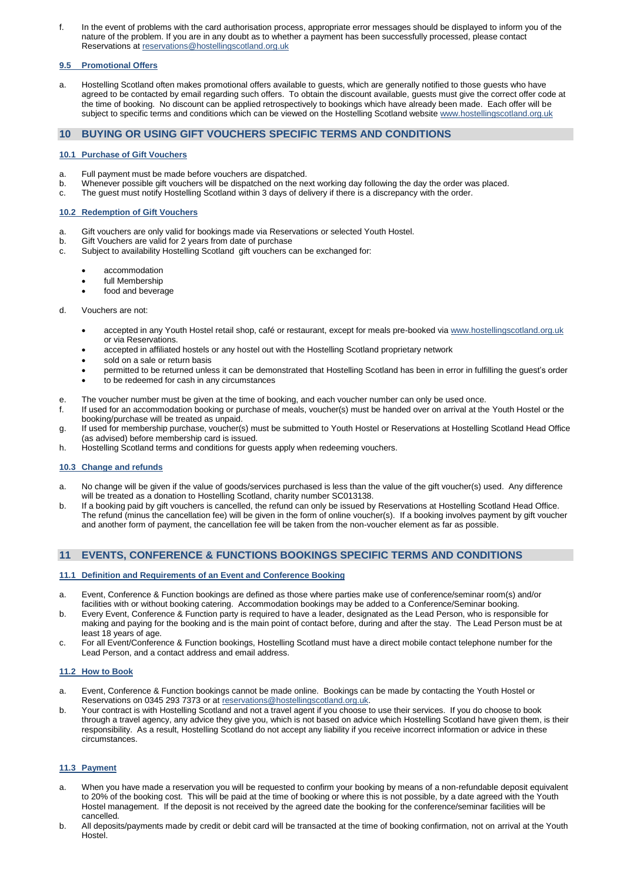f. In the event of problems with the card authorisation process, appropriate error messages should be displayed to inform you of the nature of the problem. If you are in any doubt as to whether a payment has been successfully processed, please contact Reservations at [reservations@hostellingscotland.org.uk](mailto:reservations@hostellingscotland.org.uk)

# **9.5 Promotional Offers**

a. Hostelling Scotland often makes promotional offers available to guests, which are generally notified to those guests who have agreed to be contacted by email regarding such offers. To obtain the discount available, guests must give the correct offer code at the time of booking. No discount can be applied retrospectively to bookings which have already been made. Each offer will be subject to specific terms and conditions which can be viewed on the Hostelling Scotland website [www.hostellingscotland.org.uk](http://www.hostellingscotland.org.uk/)

# **10 BUYING OR USING GIFT VOUCHERS SPECIFIC TERMS AND CONDITIONS**

# **10.1 Purchase of Gift Vouchers**

- a. Full payment must be made before vouchers are dispatched.
- b. Whenever possible gift vouchers will be dispatched on the next working day following the day the order was placed.
- c. The guest must notify Hostelling Scotland within 3 days of delivery if there is a discrepancy with the order.

# **10.2 Redemption of Gift Vouchers**

- a. Gift vouchers are only valid for bookings made via Reservations or selected Youth Hostel.
- b. Gift Vouchers are valid for 2 years from date of purchase
- c. Subject to availability Hostelling Scotland gift vouchers can be exchanged for:
	- accommodation
	- full Membership
	- food and beverage

#### d. Vouchers are not:

- accepted in any Youth Hostel retail shop, café or restaurant, except for meals pre-booked vi[a www.hostellingscotland.org.uk](http://www.hostellingscotland.org.uk/) or via Reservations.
- accepted in affiliated hostels or any hostel out with the Hostelling Scotland proprietary network
- sold on a sale or return basis
- permitted to be returned unless it can be demonstrated that Hostelling Scotland has been in error in fulfilling the guest's order
- to be redeemed for cash in any circumstances
- 
- e. The voucher number must be given at the time of booking, and each voucher number can only be used once.<br>f. If used for an accommodation booking or purchase of meals. voucher(s) must be handed over on arrival at the If used for an accommodation booking or purchase of meals, voucher(s) must be handed over on arrival at the Youth Hostel or the booking/purchase will be treated as unpaid.
- g. If used for membership purchase, voucher(s) must be submitted to Youth Hostel or Reservations at Hostelling Scotland Head Office (as advised) before membership card is issued.
- h. Hostelling Scotland terms and conditions for guests apply when redeeming vouchers.

#### **10.3 Change and refunds**

- a. No change will be given if the value of goods/services purchased is less than the value of the gift voucher(s) used. Any difference will be treated as a donation to Hostelling Scotland, charity number SC013138.
- b. If a booking paid by gift vouchers is cancelled, the refund can only be issued by Reservations at Hostelling Scotland Head Office. The refund (minus the cancellation fee) will be given in the form of online voucher(s). If a booking involves payment by gift voucher and another form of payment, the cancellation fee will be taken from the non-voucher element as far as possible.

# **11 EVENTS, CONFERENCE & FUNCTIONS BOOKINGS SPECIFIC TERMS AND CONDITIONS**

#### **11.1 Definition and Requirements of an Event and Conference Booking**

- a. Event, Conference & Function bookings are defined as those where parties make use of conference/seminar room(s) and/or facilities with or without booking catering. Accommodation bookings may be added to a Conference/Seminar booking.
- b. Every Event, Conference & Function party is required to have a leader, designated as the Lead Person, who is responsible for making and paying for the booking and is the main point of contact before, during and after the stay. The Lead Person must be at least 18 years of age.
- c. For all Event/Conference & Function bookings, Hostelling Scotland must have a direct mobile contact telephone number for the Lead Person, and a contact address and email address.

#### **11.2 How to Book**

- a. Event, Conference & Function bookings cannot be made online. Bookings can be made by contacting the Youth Hostel or Reservations on 0345 293 7373 or at [reservations@hostellingscotland.org.uk.](mailto:reservations@hostellingscotland.org.uk)
- b. Your contract is with Hostelling Scotland and not a travel agent if you choose to use their services. If you do choose to book through a travel agency, any advice they give you, which is not based on advice which Hostelling Scotland have given them, is their responsibility. As a result, Hostelling Scotland do not accept any liability if you receive incorrect information or advice in these circumstances.

#### **11.3 Payment**

- a. When you have made a reservation you will be requested to confirm your booking by means of a non-refundable deposit equivalent to 20% of the booking cost. This will be paid at the time of booking or where this is not possible, by a date agreed with the Youth Hostel management. If the deposit is not received by the agreed date the booking for the conference/seminar facilities will be cancelled.
- b. All deposits/payments made by credit or debit card will be transacted at the time of booking confirmation, not on arrival at the Youth Hostel.